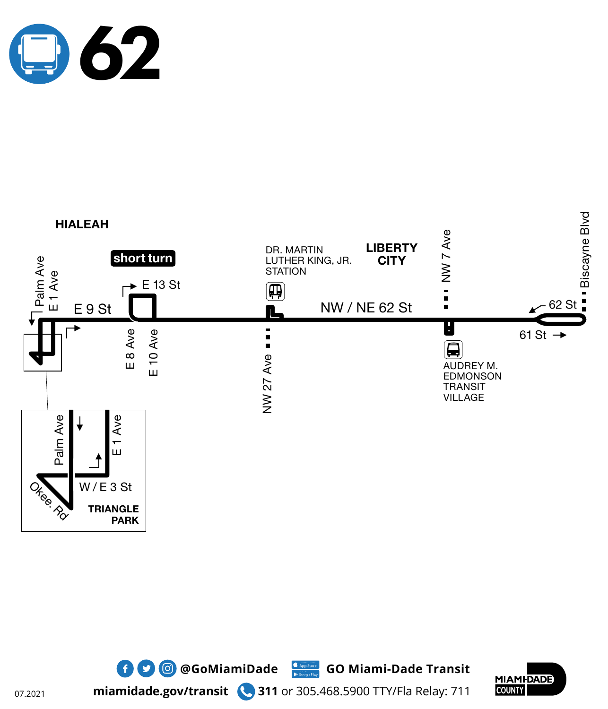







**miamidade.gov/transit 311** or 305.468.5900 TTY/Fla Relay: 711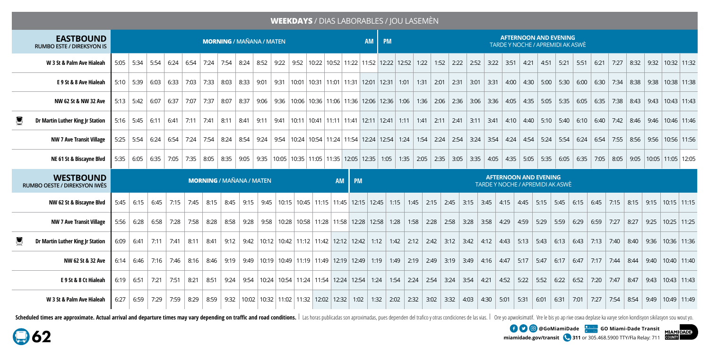## **WEEKDAYS** / DIAS LABORABLES / JOU LASEMÈN

| <b>EASTBOUND</b><br><b>RUMBO ESTE / DIREKSYON IS</b> |      | <b>MORNING / MAÑANA / MATEN</b> |                                                                                                                                                                                                 |      |  |  |  |  |  |  |  |  |  |  |  | <b>AFTERNOON AND EVENING</b><br>AM   PM<br>TARDE Y NOCHE / APREMIDI AK ASWÈ |  |  |  |  |  |  |  |  |  |  |  |  |      |  |                                                                                                                                                                                                                               |  |
|------------------------------------------------------|------|---------------------------------|-------------------------------------------------------------------------------------------------------------------------------------------------------------------------------------------------|------|--|--|--|--|--|--|--|--|--|--|--|-----------------------------------------------------------------------------|--|--|--|--|--|--|--|--|--|--|--|--|------|--|-------------------------------------------------------------------------------------------------------------------------------------------------------------------------------------------------------------------------------|--|
| W 3 St & Palm Ave Hialeah                            |      |                                 | 5:05   5:34   5:54   6:24   6:54   7:24   7:54   8:24   8:52   9:22   9:52   10:22   10:52   11:22   11:52   12:22   1:52   1:52   2:22   2:52   3:22   3:51   4:51   4:51   5:51   5:51   6:21 |      |  |  |  |  |  |  |  |  |  |  |  |                                                                             |  |  |  |  |  |  |  |  |  |  |  |  | 7:27 |  | 8:32 9:32 10:32 11:32                                                                                                                                                                                                         |  |
| E 9 St & 8 Ave Hialeah                               |      |                                 |                                                                                                                                                                                                 |      |  |  |  |  |  |  |  |  |  |  |  |                                                                             |  |  |  |  |  |  |  |  |  |  |  |  |      |  | 5:10   5:39   6:03   6:33   7:03   7:33   8:03   8:33   9:01   9:31   10:01   10:31   11:01   11:31   12:01   1:31   1:31   2:01   2:31   3:01   3:31   4:00   4:30   5:00   5:30   6:00   6:30   7:34   8:38   9:38   10:38  |  |
| NW 62 St & NW 32 Ave                                 |      |                                 |                                                                                                                                                                                                 |      |  |  |  |  |  |  |  |  |  |  |  |                                                                             |  |  |  |  |  |  |  |  |  |  |  |  |      |  | 5:13 5:42 6:07 6:37 7:07 7:07 8:07 8:37 9:06 9:36 10:06 10:36 11:06 11:36 12:06 12:36 1:06 1:36 2:06 2:36 3:06 3:36 4:05 4:35 5:05 5:35 6:05 6:35 7:38 8:43 9:43 10:43 11:43                                                  |  |
| U<br>Dr Martin Luther King Jr Station                |      |                                 | 5:16 5:45 6:11 6:41 7:11 7:41 8:11 8:41 9:11 9:41 10:11 10:41 11:11 11:41 12:11 12:41 1:11 1:41 2:11 2:41 2:11 2:41 3:11 3:41 4:10 4:40 5:10 5:40 6:10 6:40 7:42 8:46                           |      |  |  |  |  |  |  |  |  |  |  |  |                                                                             |  |  |  |  |  |  |  |  |  |  |  |  |      |  | 9:46 10:46 11:46                                                                                                                                                                                                              |  |
| NW 7 Ave Transit Village                             |      |                                 |                                                                                                                                                                                                 |      |  |  |  |  |  |  |  |  |  |  |  |                                                                             |  |  |  |  |  |  |  |  |  |  |  |  |      |  | 5:25 5:54 6:24 6:54 7:25 6:24 7:54 8:24 8:54 9:24 8:54 9:24 10:24 10:24 10:24 11:24 11:54 12:24 12:54 1:24 1:54 2:24 2:54 3:24 3:54 4:24 4:54 5:24 5:54 6:24 6:54 7:55 8:56 9:56 10:56 11:56                                  |  |
| NE 61 St & Biscayne Blvd                             | 5:35 | 6:05                            | 6:35                                                                                                                                                                                            | 7:05 |  |  |  |  |  |  |  |  |  |  |  |                                                                             |  |  |  |  |  |  |  |  |  |  |  |  |      |  | 7:35   8:05   8:05   8:05   9:05   9:05   9:05   10:05   10:05   11:05   11:05   12:05   12:05   1:05   1:05   1:05   2:05   2:05   3:05   3:05   4:05   4:05   4:05   5:05   5:05   6:05   6:05   6:05   8:05   9:05   10:05 |  |

| <b>WESTBOUND</b><br>RUMBO OESTE / DIREKSYON IWÈS | <b>MORNING / MAÑANA / MATEN</b> |                          |      |             |                                                                                                           |      |                                                                                                       |  |                                                                                         |  |  |  | AM PM | <b>AFTERNOON AND EVENING</b><br><b>TARDE Y NOCHE / APREMIDI AK ASWÈ</b> |  |  |  |  |      |      |              |                                                     |      |      |      |                                                                                                                                                                      |      |             |      |                                                                                                                                                                                   |                              |  |
|--------------------------------------------------|---------------------------------|--------------------------|------|-------------|-----------------------------------------------------------------------------------------------------------|------|-------------------------------------------------------------------------------------------------------|--|-----------------------------------------------------------------------------------------|--|--|--|-------|-------------------------------------------------------------------------|--|--|--|--|------|------|--------------|-----------------------------------------------------|------|------|------|----------------------------------------------------------------------------------------------------------------------------------------------------------------------|------|-------------|------|-----------------------------------------------------------------------------------------------------------------------------------------------------------------------------------|------------------------------|--|
| NW 62 St & Biscayne Blvd                         |                                 | $5:45 \;   \; 6:15 \;  $ | 6:45 | 7:15        |                                                                                                           |      |                                                                                                       |  |                                                                                         |  |  |  |       |                                                                         |  |  |  |  |      |      |              |                                                     |      |      |      | 7:45   8:15   8:45   9:15   9:45   10:15   10:45   11:15   11:45   12:15   12:45   1:15   1:45   2:15   2:45   3:45   3:45   4:15   4:45   5:15   5:45   6:15   6:45 |      |             |      | 7:15   8:15   9:15   10:15   11:15                                                                                                                                                |                              |  |
| <b>NW 7 Ave Transit Village</b>                  |                                 | $5:56$ 6:28              |      | $6:58$ 7:28 |                                                                                                           |      | 7:58 8:28 8:58 9:28 9:58 10:28 10:58 11:28 11:58 12:28 12:58 1:28 1:58 2:28 2:58 3:28                 |  |                                                                                         |  |  |  |       |                                                                         |  |  |  |  |      |      | $\vert$ 3:58 | 4:29                                                | 4:59 | 5:29 | 5:59 | 6:29                                                                                                                                                                 | 6:59 | 7:27        | 8:27 |                                                                                                                                                                                   | $9:25$   10:25   11:25       |  |
| Dr Martin Luther King Jr Station                 |                                 |                          |      |             |                                                                                                           |      |                                                                                                       |  |                                                                                         |  |  |  |       |                                                                         |  |  |  |  |      |      |              |                                                     |      |      |      |                                                                                                                                                                      |      |             |      | 6:09 6:41 7:11 7:41 8:11 8:41 9:12 9:42 10:12 10:42 11:12 11:42 12:12 12:42 1:12 1:42 2:12 1:42 2:12 2:42 3:12 3:42 4:12 4:43 5:13 5:43 6:13 6:43 7:13 7:40 8:40 9:36 10:36 11:36 |                              |  |
| NW 62 St & 32 Ave                                |                                 |                          |      |             | 6:14 6:46 7:16 7:16 8:16 8:46 9:19 9:49 10:19 10:49 11:19 11:49 12:19 12:49 1:19 1:49 2:19 2:49 3:19 3:49 |      |                                                                                                       |  |                                                                                         |  |  |  |       |                                                                         |  |  |  |  |      |      |              | $\vert$ 4:16 $\vert$ 4:47 $\vert$ 5:17 $\vert$ 5:47 |      |      |      | $6:17$ 6:47                                                                                                                                                          |      | 7:17   7:44 | 8:44 |                                                                                                                                                                                   | 9:40 10:40 11:40             |  |
| E 9 St & 8 Ct Hialeah                            | 6:19                            | 6:51                     | 7:21 | 7:51        | 8:21                                                                                                      | 8:51 |                                                                                                       |  | 9:24   9:54   10:24   10:54   11:24   11:54   12:24   12:54   1:24   1:54   2:24   2:54 |  |  |  |       |                                                                         |  |  |  |  | 3:24 | 3:54 | 4:21         | 4:52                                                | 5:22 | 5:52 | 6:22 | 6:52                                                                                                                                                                 | 7:20 | 7:47        | 8:47 |                                                                                                                                                                                   | $\vert$ 9:43   10:43   11:43 |  |
| W 3 St & Palm Ave Hialeah                        | 6:27                            | 6:59                     | 7:29 | 7:59        | 8:29                                                                                                      |      | 8:59   9:32   10:02   10:32   11:02   11:32   12:02   12:32   1:02   1:32   2:02   2:32   3:02   3:32 |  |                                                                                         |  |  |  |       |                                                                         |  |  |  |  |      | 4:03 |              | 4:30 5:01 5:31                                      |      | 6:01 | 6:31 | 7:01                                                                                                                                                                 |      |             |      | 7:27   7:54   8:54   9:49                                                                                                                                                         | $10:49$ 11:49                |  |

Scheduled times are approximate. Actual arrival and departure times may vary depending on traffic and road conditions. | Las horas publicadas son aproximadas, pues dependen del trafico y otras condiciones de las vias. | Or

**miamidade.gov/transit 311** or 305.468.5900 TTY/Fla Relay: 711

**@GoMiamiDade GO Miami-Dade Transit**

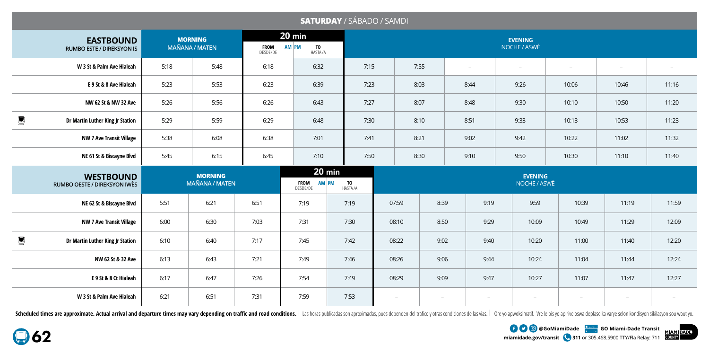|                  |                                                      |      |                                         |                         |                                            | <b>SATURDAY / SÁBADO / SAMDI</b> |      |                                |       |                          |                                |                          |                          |                          |  |  |  |  |  |
|------------------|------------------------------------------------------|------|-----------------------------------------|-------------------------|--------------------------------------------|----------------------------------|------|--------------------------------|-------|--------------------------|--------------------------------|--------------------------|--------------------------|--------------------------|--|--|--|--|--|
|                  | <b>EASTBOUND</b><br><b>RUMBO ESTE / DIREKSYON IS</b> |      | <b>MORNING</b><br><b>MAÑANA / MATEN</b> | <b>FROM</b><br>DESDE/DE | $20 \text{ min}$<br>AM PM<br>TO<br>Hasta/a |                                  |      | <b>EVENING</b><br>NOCHE / ASWÈ |       |                          |                                |                          |                          |                          |  |  |  |  |  |
|                  | W 3 St & Palm Ave Hialeah                            | 5:18 | 5:48                                    | 6:18                    | 6:32                                       |                                  | 7:15 | 7:55                           |       | $\overline{\phantom{a}}$ | $\overline{\phantom{a}}$       | $\overline{\phantom{a}}$ | $\overline{\phantom{a}}$ |                          |  |  |  |  |  |
|                  | E 9 St & 8 Ave Hialeah                               | 5:23 | 5:53                                    | 6:23                    | 6:39                                       |                                  | 7:23 | 8:03                           |       | 8:44                     | 9:26                           | 10:06                    | 10:46                    | 11:16                    |  |  |  |  |  |
|                  | NW 62 St & NW 32 Ave                                 | 5:26 | 5:56                                    | 6:26                    | 6:43                                       |                                  | 7:27 | 8:07                           |       | 8:48                     | 9:30                           | 10:10                    | 10:50                    | 11:20                    |  |  |  |  |  |
| g                | Dr Martin Luther King Jr Station                     | 5:29 | 5:59                                    | 6:29                    | 6:48                                       |                                  | 7:30 | 8:10                           |       | 8:51                     | 9:33                           | 10:13                    | 10:53                    | 11:23                    |  |  |  |  |  |
|                  | <b>NW 7 Ave Transit Village</b>                      | 5:38 | 6:08                                    | 6:38                    | 7:01                                       |                                  | 7:41 | 8:21                           |       | 9:02                     | 9:42                           | 10:22                    | 11:02                    | 11:32                    |  |  |  |  |  |
|                  | NE 61 St & Biscayne Blvd                             | 5:45 | 6:15                                    | 6:45                    | 7:10                                       |                                  | 7:50 | 8:30                           |       | 9:10                     | 9:50                           | 10:30                    | 11:10                    | 11:40                    |  |  |  |  |  |
|                  | <b>WESTBOUND</b><br>RUMBO OESTE / DIREKSYON IWÈS     |      | <b>MORNING</b><br><b>MAÑANA / MATEN</b> |                         | <b>AM PM</b><br><b>FROM</b><br>DESDE/DE    | $20$ min<br>TO<br>Hasta/a        |      |                                |       |                          | <b>EVENING</b><br>NOCHE / ASWÈ |                          |                          |                          |  |  |  |  |  |
|                  | NE 62 St & Biscayne Blvd                             | 5:51 | 6:21                                    | 6:51                    | 7:19                                       | 7:19                             |      | 07:59                          | 8:39  | 9:19                     | 9:59                           | 10:39                    | 11:19                    | 11:59                    |  |  |  |  |  |
|                  | <b>NW 7 Ave Transit Village</b>                      | 6:00 | 6:30                                    | 7:03                    | 7:31                                       | 7:30                             |      | 08:10                          | 8:50  | 9:29                     | 10:09                          | 10:49                    | 11:29                    | 12:09                    |  |  |  |  |  |
| $\sum_{i=1}^{n}$ | Dr Martin Luther King Jr Station                     | 6:10 | 6:40                                    | 7:17                    | 7:45                                       | 7:42                             |      | 08:22                          | 9:02  | 9:40                     | 10:20                          | 11:00                    | 11:40                    | 12:20                    |  |  |  |  |  |
|                  | NW 62 St & 32 Ave                                    | 6:13 | 6:43                                    | 7:21                    | 7:49                                       | 7:46                             |      | 08:26                          | 9:06  | 9:44                     | 10:24                          | 11:04                    | 11:44                    | 12:24                    |  |  |  |  |  |
|                  | E 9 St & 8 Ct Hialeah                                | 6:17 | 6:47                                    | 7:26                    | 7:54                                       | 7:49                             |      | 08:29                          | 9:09  | 9:47                     | 10:27                          | 11:07                    | 11:47                    | 12:27                    |  |  |  |  |  |
|                  | W 3 St & Palm Ave Hialeah                            | 6:21 | 6:51                                    | 7:31                    | 7:59                                       | 7:53                             |      | $\overline{\phantom{a}}$       | $ \,$ | $\overline{\phantom{a}}$ | $\overline{\phantom{a}}$       | $\overline{\phantom{a}}$ | $\overline{\phantom{a}}$ | $\overline{\phantom{a}}$ |  |  |  |  |  |

Scheduled times are approximate. Actual arrival and departure times may vary depending on traffic and road conditions. | Las horas publicadas son aproximadas, pues dependen del trafico y otras condiciones de las vias. | Or